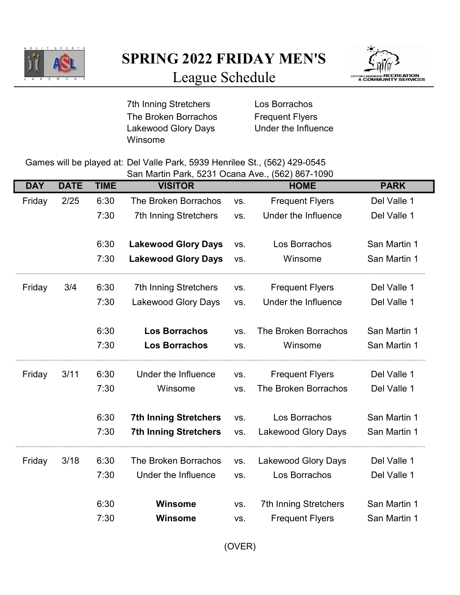

SPRING 2022 FRIDAY MEN'S



League Schedule

7th Inning Stretchers **Los Borrachos** The Broken Borrachos Frequent Flyers Lakewood Glory Days Under the Influence Winsome

Games will be played at: Del Valle Park, 5939 Henrilee St., (562) 429-0545

San Martin Park, 5231 Ocana Ave., (562) 867-1090

| <b>DAY</b> | <b>DATE</b> | <b>TIME</b> | <b>VISITOR</b>               |     | <b>HOME</b>                  | <b>PARK</b>  |
|------------|-------------|-------------|------------------------------|-----|------------------------------|--------------|
| Friday     | 2/25        | 6:30        | The Broken Borrachos         | VS. | <b>Frequent Flyers</b>       | Del Valle 1  |
|            |             | 7:30        | <b>7th Inning Stretchers</b> | VS. | Under the Influence          | Del Valle 1  |
|            |             |             |                              |     |                              |              |
|            |             | 6:30        | <b>Lakewood Glory Days</b>   | VS. | Los Borrachos                | San Martin 1 |
|            |             | 7:30        | <b>Lakewood Glory Days</b>   | VS. | Winsome                      | San Martin 1 |
| Friday     | 3/4         | 6:30        | <b>7th Inning Stretchers</b> | VS. | <b>Frequent Flyers</b>       | Del Valle 1  |
|            |             | 7:30        | <b>Lakewood Glory Days</b>   | VS. | Under the Influence          | Del Valle 1  |
|            |             | 6:30        | <b>Los Borrachos</b>         | VS. | The Broken Borrachos         | San Martin 1 |
|            |             | 7:30        | <b>Los Borrachos</b>         | VS. | Winsome                      | San Martin 1 |
| Friday     | 3/11        | 6:30        | Under the Influence          | VS. | <b>Frequent Flyers</b>       | Del Valle 1  |
|            |             | 7:30        | Winsome                      | VS. | The Broken Borrachos         | Del Valle 1  |
|            |             | 6:30        | <b>7th Inning Stretchers</b> | VS. | Los Borrachos                | San Martin 1 |
|            |             | 7:30        | <b>7th Inning Stretchers</b> | VS. | Lakewood Glory Days          | San Martin 1 |
| Friday     | 3/18        | 6:30        | The Broken Borrachos         | VS. | Lakewood Glory Days          | Del Valle 1  |
|            |             | 7:30        | Under the Influence          | VS. | Los Borrachos                | Del Valle 1  |
|            |             | 6:30        | <b>Winsome</b>               | VS. | <b>7th Inning Stretchers</b> | San Martin 1 |
|            |             | 7:30        | <b>Winsome</b>               | VS. | <b>Frequent Flyers</b>       | San Martin 1 |
|            |             |             |                              |     |                              |              |

(OVER)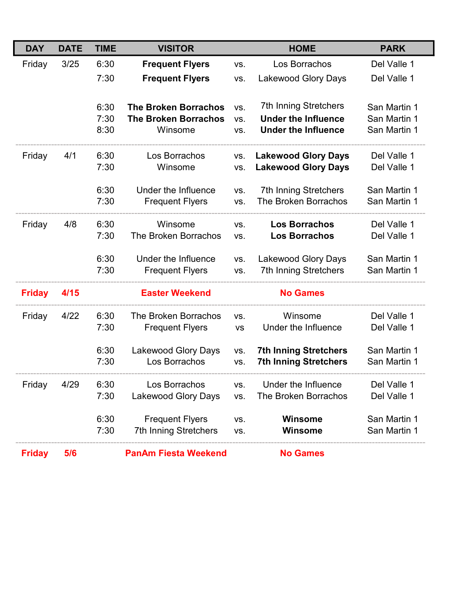| <b>DAY</b>    | <b>DATE</b> | <b>TIME</b>          | <b>VISITOR</b>                                                        |                   | <b>HOME</b>                                                                              | <b>PARK</b>                                  |
|---------------|-------------|----------------------|-----------------------------------------------------------------------|-------------------|------------------------------------------------------------------------------------------|----------------------------------------------|
| Friday        | 3/25        | 6:30                 | <b>Frequent Flyers</b>                                                | VS.               | Los Borrachos                                                                            | Del Valle 1                                  |
|               |             | 7:30                 | <b>Frequent Flyers</b>                                                | VS.               | <b>Lakewood Glory Days</b>                                                               | Del Valle 1                                  |
|               |             | 6:30<br>7:30<br>8:30 | <b>The Broken Borrachos</b><br><b>The Broken Borrachos</b><br>Winsome | VS.<br>VS.<br>VS. | <b>7th Inning Stretchers</b><br><b>Under the Influence</b><br><b>Under the Influence</b> | San Martin 1<br>San Martin 1<br>San Martin 1 |
| Friday        | 4/1         | 6:30<br>7:30         | Los Borrachos<br>Winsome                                              | VS.<br>VS.        | <b>Lakewood Glory Days</b><br><b>Lakewood Glory Days</b>                                 | Del Valle 1<br>Del Valle 1                   |
|               |             | 6:30<br>7:30         | Under the Influence<br><b>Frequent Flyers</b>                         | VS.<br>VS.        | <b>7th Inning Stretchers</b><br><b>The Broken Borrachos</b>                              | San Martin 1<br>San Martin 1                 |
| Friday        | 4/8         | 6:30<br>7:30         | Winsome<br>The Broken Borrachos                                       | VS.<br>VS.        | <b>Los Borrachos</b><br><b>Los Borrachos</b>                                             | Del Valle 1<br>Del Valle 1                   |
|               |             | 6:30<br>7:30         | Under the Influence<br><b>Frequent Flyers</b>                         | VS.<br>VS.        | Lakewood Glory Days<br><b>7th Inning Stretchers</b>                                      | San Martin 1<br>San Martin 1                 |
| <b>Friday</b> | 4/15        |                      | <b>Easter Weekend</b>                                                 |                   | <b>No Games</b>                                                                          |                                              |
| Friday        | 4/22        | 6:30<br>7:30         | The Broken Borrachos<br><b>Frequent Flyers</b>                        | VS.<br><b>VS</b>  | Winsome<br>Under the Influence                                                           | Del Valle 1<br>Del Valle 1                   |
|               |             | 6:30<br>7:30         | <b>Lakewood Glory Days</b><br>Los Borrachos                           | VS.<br>VS.        | <b>7th Inning Stretchers</b><br><b>7th Inning Stretchers</b>                             | San Martin 1<br>San Martin 1                 |
| Friday        | 4/29        | 6:30<br>7:30         | Los Borrachos<br><b>Lakewood Glory Days</b>                           | VS.<br>VS.        | Under the Influence<br>The Broken Borrachos                                              | Del Valle 1<br>Del Valle 1                   |
|               |             | 6:30<br>7:30         | <b>Frequent Flyers</b><br><b>7th Inning Stretchers</b>                | VS.<br>VS.        | <b>Winsome</b><br><b>Winsome</b>                                                         | San Martin 1<br>San Martin 1                 |
| <b>Friday</b> | 5/6         |                      | <b>PanAm Fiesta Weekend</b>                                           |                   | <b>No Games</b>                                                                          |                                              |